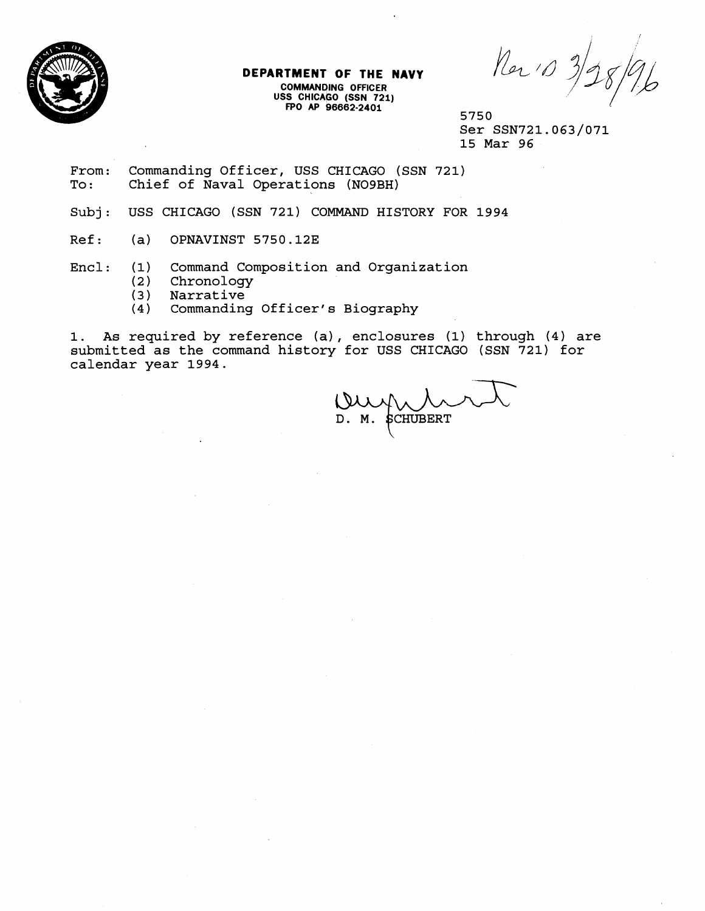

## **DEPARTMENT OF THE NAVY**

**COMMANDING OFFICER USS CHICAGO (SSN 721) FPO AP 96662-2401** 

Ner 10 3/28/96

5750 Ser SSN721.063/071 15 Mar 96

From: Commanding Officer, USS CHICAGO (SSN 721)<br>To: Chief of Naval Operations (NO9BH) Chief of Naval Operations (NO9BH)

Subj: USS CHICAGO (SSN 721) COMMAND HISTORY FOR 1994

Ref: (a) OPNAVINST 5750.12E

Encl: (1) Command Composition and Organization

- (2) Chronology<br>(3) Narrative
- **(3)** Narrative
- Commanding Officer's Biography

1. As required by reference (a), enclosures (1) through (4) are submitted as the command history for USS CHICAGO (SSN 721) for calendar year 1994.

**SCHUBERT** D. M.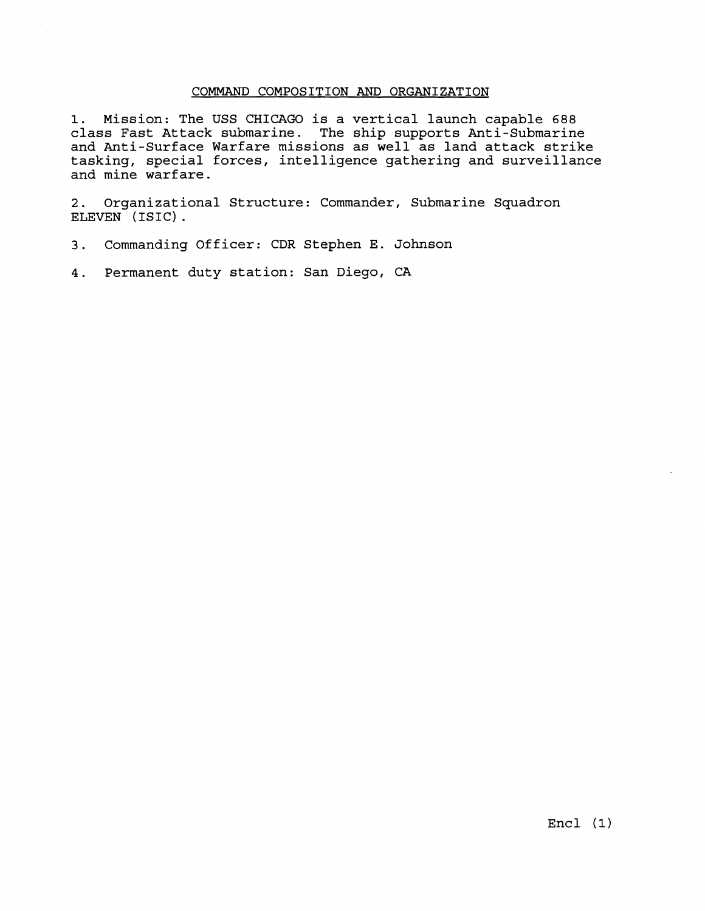## COMMAND COMPOSITION AND ORGANIZATION

1. Mission: The USS CHICAGO is a vertical launch capable 688 class Fast Attack submarine. The ship supports Anti-Submarine and Anti-Surface Warfare missions as well as land attack strike tasking, special forces, intelligence gathering and surveillance and mine warfare.

2. Organizational Structure: Commander, Submarine Squadron ELEVEN (ISIC).

3. Commanding Officer: CDR Stephen E. Johnson

4. Permanent duty station: San Diego, CA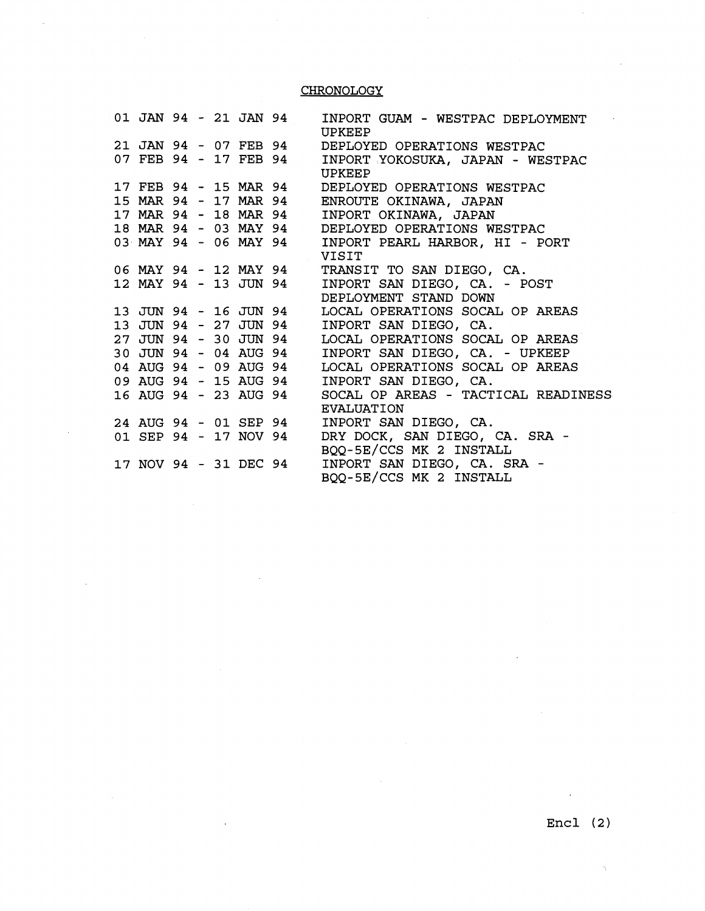## **CHRONOLOGY**

 $\hat{\beta}$ 

|                       |  |  | 01 JAN 94 - 21 JAN 94 | INPORT GUAM - WESTPAC DEPLOYMENT<br>UPKEEP        |
|-----------------------|--|--|-----------------------|---------------------------------------------------|
|                       |  |  | 21 JAN 94 - 07 FEB 94 | DEPLOYED OPERATIONS WESTPAC                       |
|                       |  |  | 07 FEB 94 - 17 FEB 94 | INPORT YOKOSUKA, JAPAN - WESTPAC<br><b>UPKEEP</b> |
|                       |  |  | 17 FEB 94 - 15 MAR 94 | DEPLOYED OPERATIONS WESTPAC                       |
| 15 MAR 94 - 17 MAR 94 |  |  |                       | ENROUTE OKINAWA, JAPAN                            |
| 17 MAR 94 - 18 MAR 94 |  |  |                       | INPORT OKINAWA, JAPAN                             |
|                       |  |  | 18 MAR 94 - 03 MAY 94 | DEPLOYED OPERATIONS WESTPAC                       |
| 03 MAY 94 - 06 MAY 94 |  |  |                       | INPORT PEARL HARBOR, HI - PORT<br>VISIT           |
|                       |  |  | 06 MAY 94 - 12 MAY 94 | TRANSIT TO SAN DIEGO, CA.                         |
|                       |  |  | 12 MAY 94 - 13 JUN 94 | INPORT SAN DIEGO, CA. - POST                      |
|                       |  |  |                       | DEPLOYMENT STAND DOWN                             |
| 13 JUN 94 - 16 JUN 94 |  |  |                       | LOCAL OPERATIONS SOCAL OP AREAS                   |
| 13 JUN 94 - 27 JUN 94 |  |  |                       | INPORT SAN DIEGO, CA.                             |
| 27 JUN 94 - 30 JUN 94 |  |  |                       | LOCAL OPERATIONS SOCAL OP AREAS                   |
| 30 JUN 94 - 04 AUG 94 |  |  |                       | INPORT SAN DIEGO, CA. - UPKEEP                    |
|                       |  |  | 04 AUG 94 - 09 AUG 94 | LOCAL OPERATIONS SOCAL OP AREAS                   |
|                       |  |  | 09 AUG 94 - 15 AUG 94 | INPORT SAN DIEGO, CA.                             |
|                       |  |  | 16 AUG 94 - 23 AUG 94 | SOCAL OP AREAS - TACTICAL READINESS               |
|                       |  |  |                       | <b>EVALUATION</b>                                 |
|                       |  |  | 24 AUG 94 - 01 SEP 94 | INPORT SAN DIEGO, CA.                             |
|                       |  |  | 01 SEP 94 - 17 NOV 94 | DRY DOCK, SAN DIEGO, CA. SRA -                    |
|                       |  |  |                       | BQQ-5E/CCS MK 2 INSTALL                           |
|                       |  |  | 17 NOV 94 - 31 DEC 94 | INPORT SAN DIEGO, CA. SRA -                       |
|                       |  |  |                       | BQQ-5E/CCS MK 2 INSTALL                           |

 $\bar{z}$ 

 $\gamma$ 

 $\sim 10^{11}$  km s  $^{-1}$